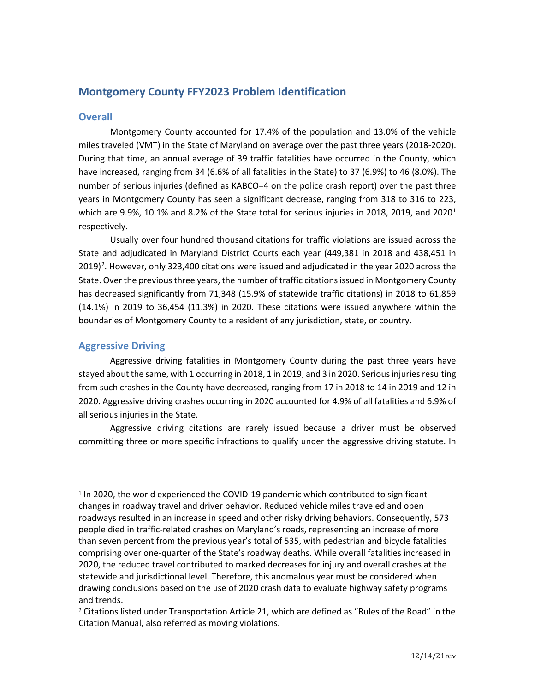# **Montgomery County FFY2023 Problem Identification**

## **Overall**

Montgomery County accounted for 17.4% of the population and 13.0% of the vehicle miles traveled (VMT) in the State of Maryland on average over the past three years (2018-2020). During that time, an annual average of 39 traffic fatalities have occurred in the County, which have increased, ranging from 34 (6.6% of all fatalities in the State) to 37 (6.9%) to 46 (8.0%). The number of serious injuries (defined as KABCO=4 on the police crash report) over the past three years in Montgomery County has seen a significant decrease, ranging from 318 to 316 to 223, which are 9.9%, [1](#page-0-0)0.1% and 8.2% of the State total for serious injuries in 2018, 2019, and 2020<sup>1</sup> respectively.

Usually over four hundred thousand citations for traffic violations are issued across the State and adjudicated in Maryland District Courts each year (449,381 in 2018 and 438,451 in  $2019)$  $2019)$ <sup>2</sup>. However, only 323,400 citations were issued and adjudicated in the year 2020 across the State. Over the previous three years, the number of traffic citations issued in Montgomery County has decreased significantly from 71,348 (15.9% of statewide traffic citations) in 2018 to 61,859 (14.1%) in 2019 to 36,454 (11.3%) in 2020. These citations were issued anywhere within the boundaries of Montgomery County to a resident of any jurisdiction, state, or country.

# **Aggressive Driving**

Aggressive driving fatalities in Montgomery County during the past three years have stayed about the same, with 1 occurring in 2018, 1 in 2019, and 3 in 2020. Serious injuries resulting from such crashes in the County have decreased, ranging from 17 in 2018 to 14 in 2019 and 12 in 2020. Aggressive driving crashes occurring in 2020 accounted for 4.9% of all fatalities and 6.9% of all serious injuries in the State.

Aggressive driving citations are rarely issued because a driver must be observed committing three or more specific infractions to qualify under the aggressive driving statute. In

<span id="page-0-0"></span><sup>&</sup>lt;sup>1</sup> In 2020, the world experienced the COVID-19 pandemic which contributed to significant changes in roadway travel and driver behavior. Reduced vehicle miles traveled and open roadways resulted in an increase in speed and other risky driving behaviors. Consequently, 573 people died in traffic-related crashes on Maryland's roads, representing an increase of more than seven percent from the previous year's total of 535, with pedestrian and bicycle fatalities comprising over one-quarter of the State's roadway deaths. While overall fatalities increased in 2020, the reduced travel contributed to marked decreases for injury and overall crashes at the statewide and jurisdictional level. Therefore, this anomalous year must be considered when drawing conclusions based on the use of 2020 crash data to evaluate highway safety programs and trends.

<span id="page-0-1"></span><sup>2</sup> Citations listed under Transportation Article 21, which are defined as "Rules of the Road" in the Citation Manual, also referred as moving violations.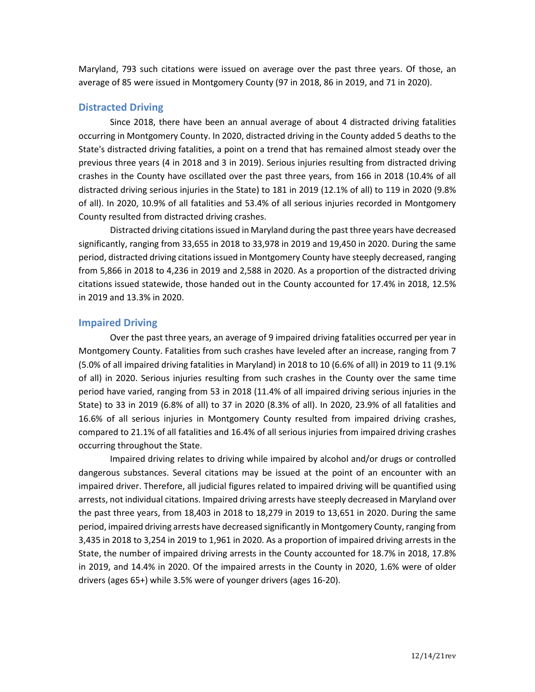Maryland, 793 such citations were issued on average over the past three years. Of those, an average of 85 were issued in Montgomery County (97 in 2018, 86 in 2019, and 71 in 2020).

# **Distracted Driving**

Since 2018, there have been an annual average of about 4 distracted driving fatalities occurring in Montgomery County. In 2020, distracted driving in the County added 5 deaths to the State's distracted driving fatalities, a point on a trend that has remained almost steady over the previous three years (4 in 2018 and 3 in 2019). Serious injuries resulting from distracted driving crashes in the County have oscillated over the past three years, from 166 in 2018 (10.4% of all distracted driving serious injuries in the State) to 181 in 2019 (12.1% of all) to 119 in 2020 (9.8% of all). In 2020, 10.9% of all fatalities and 53.4% of all serious injuries recorded in Montgomery County resulted from distracted driving crashes.

Distracted driving citations issued in Maryland during the past three years have decreased significantly, ranging from 33,655 in 2018 to 33,978 in 2019 and 19,450 in 2020. During the same period, distracted driving citations issued in Montgomery County have steeply decreased, ranging from 5,866 in 2018 to 4,236 in 2019 and 2,588 in 2020. As a proportion of the distracted driving citations issued statewide, those handed out in the County accounted for 17.4% in 2018, 12.5% in 2019 and 13.3% in 2020.

## **Impaired Driving**

Over the past three years, an average of 9 impaired driving fatalities occurred per year in Montgomery County. Fatalities from such crashes have leveled after an increase, ranging from 7 (5.0% of all impaired driving fatalities in Maryland) in 2018 to 10 (6.6% of all) in 2019 to 11 (9.1% of all) in 2020. Serious injuries resulting from such crashes in the County over the same time period have varied, ranging from 53 in 2018 (11.4% of all impaired driving serious injuries in the State) to 33 in 2019 (6.8% of all) to 37 in 2020 (8.3% of all). In 2020, 23.9% of all fatalities and 16.6% of all serious injuries in Montgomery County resulted from impaired driving crashes, compared to 21.1% of all fatalities and 16.4% of all serious injuries from impaired driving crashes occurring throughout the State.

Impaired driving relates to driving while impaired by alcohol and/or drugs or controlled dangerous substances. Several citations may be issued at the point of an encounter with an impaired driver. Therefore, all judicial figures related to impaired driving will be quantified using arrests, not individual citations. Impaired driving arrests have steeply decreased in Maryland over the past three years, from 18,403 in 2018 to 18,279 in 2019 to 13,651 in 2020. During the same period, impaired driving arrests have decreased significantly in Montgomery County, ranging from 3,435 in 2018 to 3,254 in 2019 to 1,961 in 2020. As a proportion of impaired driving arrests in the State, the number of impaired driving arrests in the County accounted for 18.7% in 2018, 17.8% in 2019, and 14.4% in 2020. Of the impaired arrests in the County in 2020, 1.6% were of older drivers (ages 65+) while 3.5% were of younger drivers (ages 16-20).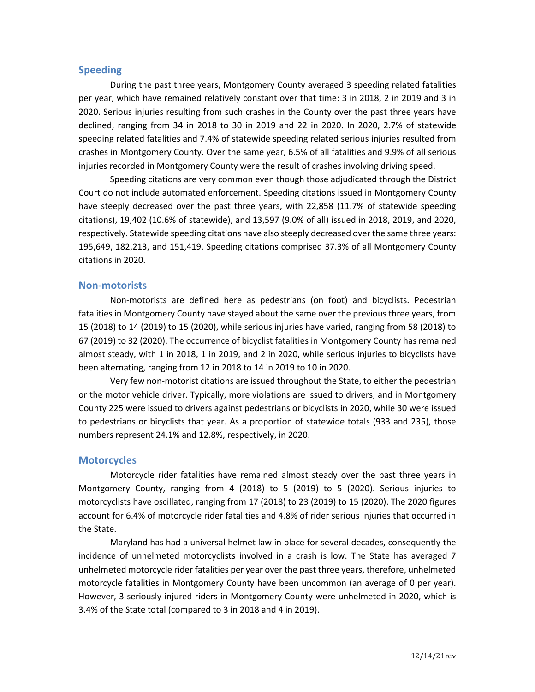### **Speeding**

During the past three years, Montgomery County averaged 3 speeding related fatalities per year, which have remained relatively constant over that time: 3 in 2018, 2 in 2019 and 3 in 2020. Serious injuries resulting from such crashes in the County over the past three years have declined, ranging from 34 in 2018 to 30 in 2019 and 22 in 2020. In 2020, 2.7% of statewide speeding related fatalities and 7.4% of statewide speeding related serious injuries resulted from crashes in Montgomery County. Over the same year, 6.5% of all fatalities and 9.9% of all serious injuries recorded in Montgomery County were the result of crashes involving driving speed.

Speeding citations are very common even though those adjudicated through the District Court do not include automated enforcement. Speeding citations issued in Montgomery County have steeply decreased over the past three years, with 22,858 (11.7% of statewide speeding citations), 19,402 (10.6% of statewide), and 13,597 (9.0% of all) issued in 2018, 2019, and 2020, respectively. Statewide speeding citations have also steeply decreased over the same three years: 195,649, 182,213, and 151,419. Speeding citations comprised 37.3% of all Montgomery County citations in 2020.

#### **Non-motorists**

Non-motorists are defined here as pedestrians (on foot) and bicyclists. Pedestrian fatalities in Montgomery County have stayed about the same over the previous three years, from 15 (2018) to 14 (2019) to 15 (2020), while serious injuries have varied, ranging from 58 (2018) to 67 (2019) to 32 (2020). The occurrence of bicyclist fatalities in Montgomery County has remained almost steady, with 1 in 2018, 1 in 2019, and 2 in 2020, while serious injuries to bicyclists have been alternating, ranging from 12 in 2018 to 14 in 2019 to 10 in 2020.

Very few non-motorist citations are issued throughout the State, to either the pedestrian or the motor vehicle driver. Typically, more violations are issued to drivers, and in Montgomery County 225 were issued to drivers against pedestrians or bicyclists in 2020, while 30 were issued to pedestrians or bicyclists that year. As a proportion of statewide totals (933 and 235), those numbers represent 24.1% and 12.8%, respectively, in 2020.

### **Motorcycles**

Motorcycle rider fatalities have remained almost steady over the past three years in Montgomery County, ranging from 4 (2018) to 5 (2019) to 5 (2020). Serious injuries to motorcyclists have oscillated, ranging from 17 (2018) to 23 (2019) to 15 (2020). The 2020 figures account for 6.4% of motorcycle rider fatalities and 4.8% of rider serious injuries that occurred in the State.

Maryland has had a universal helmet law in place for several decades, consequently the incidence of unhelmeted motorcyclists involved in a crash is low. The State has averaged 7 unhelmeted motorcycle rider fatalities per year over the past three years, therefore, unhelmeted motorcycle fatalities in Montgomery County have been uncommon (an average of 0 per year). However, 3 seriously injured riders in Montgomery County were unhelmeted in 2020, which is 3.4% of the State total (compared to 3 in 2018 and 4 in 2019).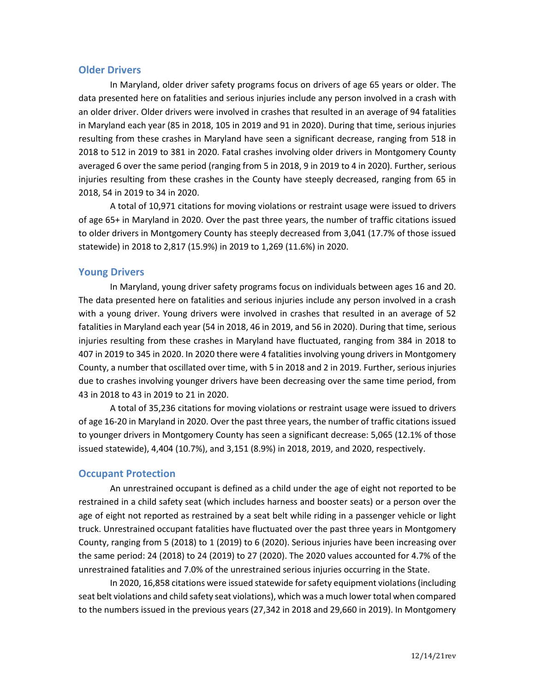## **Older Drivers**

In Maryland, older driver safety programs focus on drivers of age 65 years or older. The data presented here on fatalities and serious injuries include any person involved in a crash with an older driver. Older drivers were involved in crashes that resulted in an average of 94 fatalities in Maryland each year (85 in 2018, 105 in 2019 and 91 in 2020). During that time, serious injuries resulting from these crashes in Maryland have seen a significant decrease, ranging from 518 in 2018 to 512 in 2019 to 381 in 2020. Fatal crashes involving older drivers in Montgomery County averaged 6 over the same period (ranging from 5 in 2018, 9 in 2019 to 4 in 2020). Further, serious injuries resulting from these crashes in the County have steeply decreased, ranging from 65 in 2018, 54 in 2019 to 34 in 2020.

A total of 10,971 citations for moving violations or restraint usage were issued to drivers of age 65+ in Maryland in 2020. Over the past three years, the number of traffic citations issued to older drivers in Montgomery County has steeply decreased from 3,041 (17.7% of those issued statewide) in 2018 to 2,817 (15.9%) in 2019 to 1,269 (11.6%) in 2020.

## **Young Drivers**

In Maryland, young driver safety programs focus on individuals between ages 16 and 20. The data presented here on fatalities and serious injuries include any person involved in a crash with a young driver. Young drivers were involved in crashes that resulted in an average of 52 fatalities in Maryland each year (54 in 2018, 46 in 2019, and 56 in 2020). During that time, serious injuries resulting from these crashes in Maryland have fluctuated, ranging from 384 in 2018 to 407 in 2019 to 345 in 2020. In 2020 there were 4 fatalities involving young drivers in Montgomery County, a number that oscillated over time, with 5 in 2018 and 2 in 2019. Further, serious injuries due to crashes involving younger drivers have been decreasing over the same time period, from 43 in 2018 to 43 in 2019 to 21 in 2020.

A total of 35,236 citations for moving violations or restraint usage were issued to drivers of age 16-20 in Maryland in 2020. Over the past three years, the number of traffic citations issued to younger drivers in Montgomery County has seen a significant decrease: 5,065 (12.1% of those issued statewide), 4,404 (10.7%), and 3,151 (8.9%) in 2018, 2019, and 2020, respectively.

### **Occupant Protection**

An unrestrained occupant is defined as a child under the age of eight not reported to be restrained in a child safety seat (which includes harness and booster seats) or a person over the age of eight not reported as restrained by a seat belt while riding in a passenger vehicle or light truck. Unrestrained occupant fatalities have fluctuated over the past three years in Montgomery County, ranging from 5 (2018) to 1 (2019) to 6 (2020). Serious injuries have been increasing over the same period: 24 (2018) to 24 (2019) to 27 (2020). The 2020 values accounted for 4.7% of the unrestrained fatalities and 7.0% of the unrestrained serious injuries occurring in the State.

In 2020, 16,858 citations were issued statewide for safety equipment violations(including seat belt violations and child safety seat violations), which was a much lower total when compared to the numbers issued in the previous years (27,342 in 2018 and 29,660 in 2019). In Montgomery